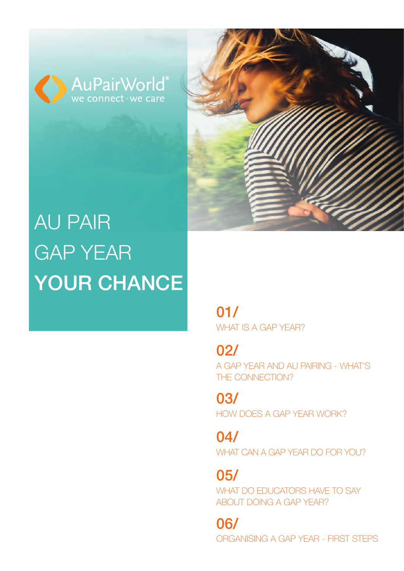





# AU PAIR GAP YEAR YOUR CHANCE

[WHAT IS A GAP YEAR?](#page-1-0) 01/

[A GAP YEAR AND AU PAIRING - WHAT'S](#page-1-0)  THE CONNECTION? 02/

[HOW DOES A GAP YEAR WORK?](#page-2-0) 03/

[WHAT CAN A GAP YEAR DO FOR YOU?](#page-2-0) 04/

05/

[WHAT DO EDUCATORS HAVE TO SAY](#page-3-0)  ABOUT DOING A GAP YEAR?

06/

[ORGANISING A GAP YEAR - FIRST STEPS](#page-3-0)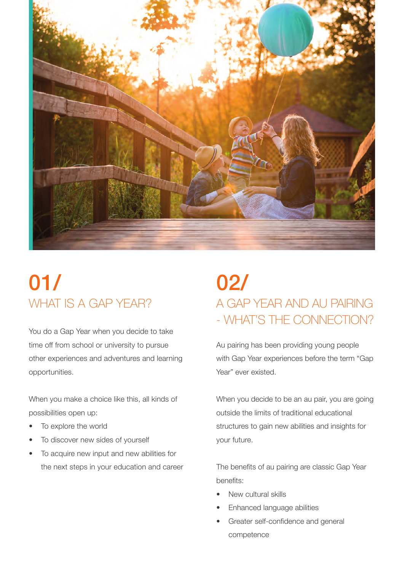<span id="page-1-0"></span>

# WHAT IS A GAP YEAR? 01/

You do a Gap Year when you decide to take time off from school or university to pursue other experiences and adventures and learning opportunities.

When you make a choice like this, all kinds of possibilities open up:

- To explore the world
- To discover new sides of yourself
- To acquire new input and new abilities for the next steps in your education and career

# A GAP YEAR AND AU PAIRING - WHAT'S THE CONNECTION? 02/

Au pairing has been providing young people with Gap Year experiences before the term "Gap Year" ever existed.

When you decide to be an au pair, you are going outside the limits of traditional educational structures to gain new abilities and insights for your future.

The benefits of au pairing are classic Gap Year benefits:

- New cultural skills
- Enhanced language abilities
- Greater self-confidence and general competence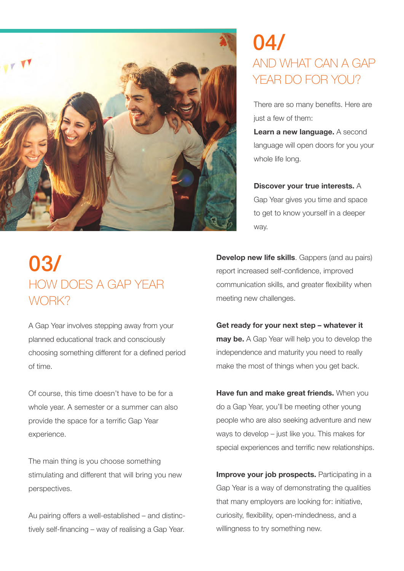<span id="page-2-0"></span>

### AND WHAT CAN A GAP YEAR DO FOR YOU? 04/

There are so many benefits. Here are just a few of them:

**Learn a new language.** A second language will open doors for you your whole life long.

**Discover your true interests.** A Gap Year gives you time and space to get to know yourself in a deeper way.

#### HOW DOES A GAP YEAR WORK? 03/

A Gap Year involves stepping away from your planned educational track and consciously choosing something different for a defined period of time.

Of course, this time doesn't have to be for a whole year. A semester or a summer can also provide the space for a terrific Gap Year experience.

The main thing is you choose something stimulating and different that will bring you new perspectives.

Au pairing offers a well-established – and distinctively self-financing – way of realising a Gap Year.

**Develop new life skills**. Gappers (and au pairs) report increased self-confidence, improved communication skills, and greater flexibility when meeting new challenges.

**Get ready for your next step – whatever it may be.** A Gap Year will help you to develop the independence and maturity you need to really make the most of things when you get back.

**Have fun and make great friends.** When you do a Gap Year, you'll be meeting other young people who are also seeking adventure and new ways to develop – just like you. This makes for special experiences and terrific new relationships.

**Improve your job prospects.** Participating in a Gap Year is a way of demonstrating the qualities that many employers are looking for: initiative, curiosity, flexibility, open-mindedness, and a willingness to try something new.